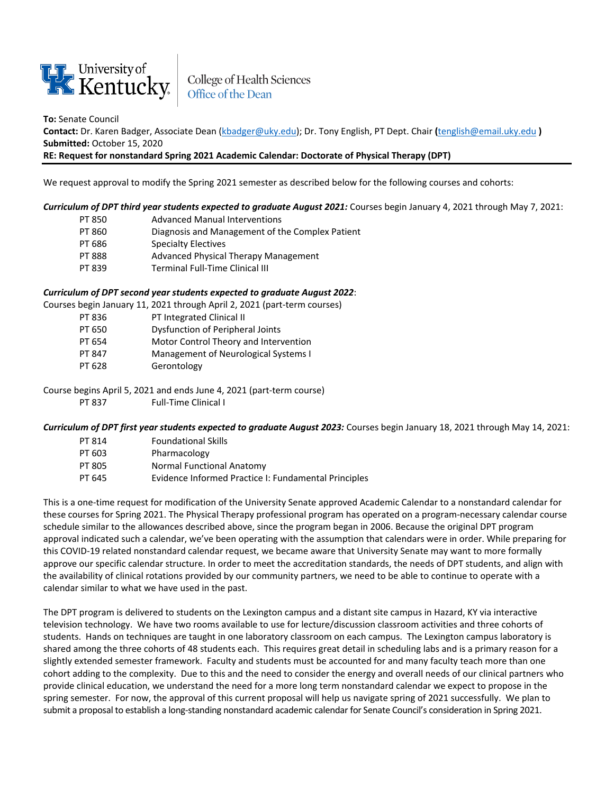

College of Health Sciences<br>Office of the Dean

**To:** Senate Council

**Contact:** Dr. Karen Badger, Associate Dean [\(kbadger@uky.edu\)](mailto:kbadger@uky.edu); Dr. Tony English, PT Dept. Chair **(**[tenglish@email.uky.edu](mailto:tenglish@email.uky.edu) **) Submitted:** October 15, 2020

## **RE: Request for nonstandard Spring 2021 Academic Calendar: Doctorate of Physical Therapy (DPT)**

We request approval to modify the Spring 2021 semester as described below for the following courses and cohorts:

*Curriculum of DPT third year students expected to graduate August 2021:* Courses begin January 4, 2021 through May 7, 2021:

- PT 850 Advanced Manual Interventions
- PT 860 Diagnosis and Management of the Complex Patient
- PT 686 Specialty Electives
- PT 888 Advanced Physical Therapy Management
- PT 839 Terminal Full-Time Clinical III

## *Curriculum of DPT second year students expected to graduate August 2022*:

Courses begin January 11, 2021 through April 2, 2021 (part-term courses)

- PT 836 PT Integrated Clinical II
- PT 650 Dysfunction of Peripheral Joints
- PT 654 Motor Control Theory and Intervention
- PT 847 Management of Neurological Systems I
- PT 628 Gerontology

Course begins April 5, 2021 and ends June 4, 2021 (part-term course)

PT 837 Full-Time Clinical I

*Curriculum of DPT first year students expected to graduate August 2023:* Courses begin January 18, 2021 through May 14, 2021:

- PT 814 Foundational Skills
- PT 603 Pharmacology
- PT 805 Normal Functional Anatomy
- PT 645 Evidence Informed Practice I: Fundamental Principles

This is a one-time request for modification of the University Senate approved Academic Calendar to a nonstandard calendar for these courses for Spring 2021. The Physical Therapy professional program has operated on a program-necessary calendar course schedule similar to the allowances described above, since the program began in 2006. Because the original DPT program approval indicated such a calendar, we've been operating with the assumption that calendars were in order. While preparing for this COVID-19 related nonstandard calendar request, we became aware that University Senate may want to more formally approve our specific calendar structure. In order to meet the accreditation standards, the needs of DPT students, and align with the availability of clinical rotations provided by our community partners, we need to be able to continue to operate with a calendar similar to what we have used in the past.

The DPT program is delivered to students on the Lexington campus and a distant site campus in Hazard, KY via interactive television technology. We have two rooms available to use for lecture/discussion classroom activities and three cohorts of students. Hands on techniques are taught in one laboratory classroom on each campus. The Lexington campus laboratory is shared among the three cohorts of 48 students each. This requires great detail in scheduling labs and is a primary reason for a slightly extended semester framework. Faculty and students must be accounted for and many faculty teach more than one cohort adding to the complexity. Due to this and the need to consider the energy and overall needs of our clinical partners who provide clinical education, we understand the need for a more long term nonstandard calendar we expect to propose in the spring semester. For now, the approval of this current proposal will help us navigate spring of 2021 successfully. We plan to submit a proposal to establish a long-standing nonstandard academic calendar for Senate Council's consideration in Spring 2021.